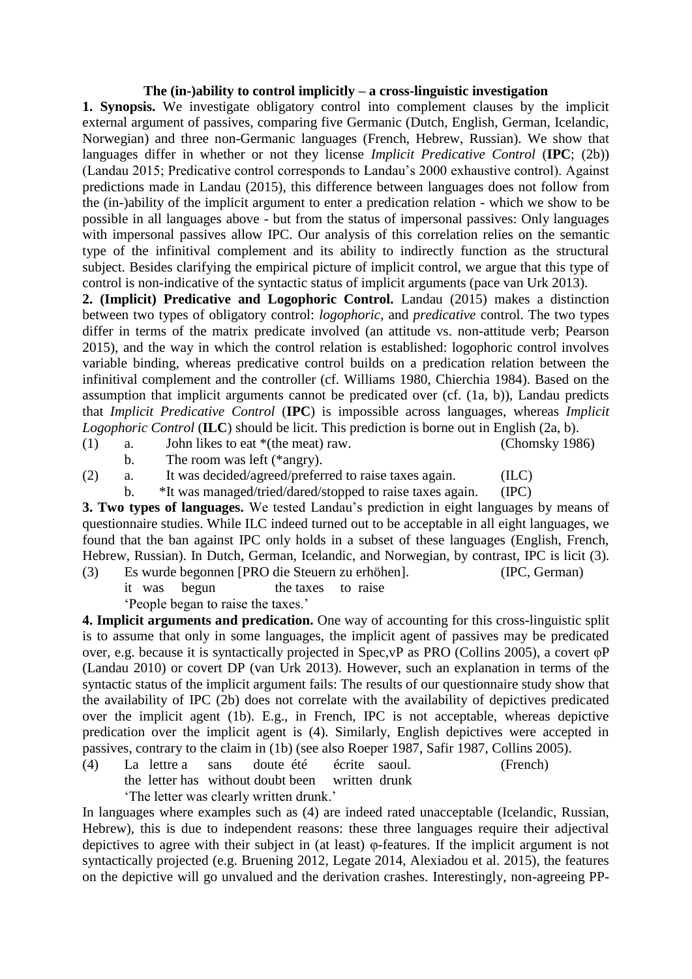## **The (in-)ability to control implicitly – a cross-linguistic investigation**

**1. Synopsis.** We investigate obligatory control into complement clauses by the implicit external argument of passives, comparing five Germanic (Dutch, English, German, Icelandic, Norwegian) and three non-Germanic languages (French, Hebrew, Russian). We show that languages differ in whether or not they license *Implicit Predicative Control* (**IPC**; (2b)) (Landau 2015; Predicative control corresponds to Landau's 2000 exhaustive control). Against predictions made in Landau (2015), this difference between languages does not follow from the (in-)ability of the implicit argument to enter a predication relation - which we show to be possible in all languages above - but from the status of impersonal passives: Only languages with impersonal passives allow IPC. Our analysis of this correlation relies on the semantic type of the infinitival complement and its ability to indirectly function as the structural subject. Besides clarifying the empirical picture of implicit control, we argue that this type of control is non-indicative of the syntactic status of implicit arguments (pace van Urk 2013).

**2. (Implicit) Predicative and Logophoric Control.** Landau (2015) makes a distinction between two types of obligatory control: *logophoric*, and *predicative* control. The two types differ in terms of the matrix predicate involved (an attitude vs. non-attitude verb; Pearson 2015), and the way in which the control relation is established: logophoric control involves variable binding, whereas predicative control builds on a predication relation between the infinitival complement and the controller (cf. Williams 1980, Chierchia 1984). Based on the assumption that implicit arguments cannot be predicated over (cf. (1a, b)), Landau predicts that *Implicit Predicative Control* (**IPC**) is impossible across languages, whereas *Implicit Logophoric Control* (**ILC**) should be licit. This prediction is borne out in English (2a, b).

(1) a. John likes to eat \*(the meat) raw. (Chomsky 1986)

- b. The room was left (\*angry).
- (2) a. It was decided/agreed/preferred to raise taxes again. (ILC)
	- b. \*It was managed/tried/dared/stopped to raise taxes again. (IPC)

**3. Two types of languages.** We tested Landau's prediction in eight languages by means of questionnaire studies. While ILC indeed turned out to be acceptable in all eight languages, we found that the ban against IPC only holds in a subset of these languages (English, French, Hebrew, Russian). In Dutch, German, Icelandic, and Norwegian, by contrast, IPC is licit (3).

(3) Es wurde begonnen [PRO die Steuern zu erhöhen]. (IPC, German)

it was begun the taxes to raise

'People began to raise the taxes.'

**4. Implicit arguments and predication.** One way of accounting for this cross-linguistic split is to assume that only in some languages, the implicit agent of passives may be predicated over, e.g. because it is syntactically projected in Spec,vP as PRO (Collins 2005), a covert φP (Landau 2010) or covert DP (van Urk 2013). However, such an explanation in terms of the syntactic status of the implicit argument fails: The results of our questionnaire study show that the availability of IPC (2b) does not correlate with the availability of depictives predicated over the implicit agent (1b). E.g., in French, IPC is not acceptable, whereas depictive predication over the implicit agent is (4). Similarly, English depictives were accepted in passives, contrary to the claim in (1b) (see also Roeper 1987, Safir 1987, Collins 2005).

(4) La lettre a sans doute été écrite saoul. (French) the letter has without doubt been written drunk 'The letter was clearly written drunk.'

In languages where examples such as (4) are indeed rated unacceptable (Icelandic, Russian, Hebrew), this is due to independent reasons: these three languages require their adjectival depictives to agree with their subject in (at least) φ-features. If the implicit argument is not syntactically projected (e.g. Bruening 2012, Legate 2014, Alexiadou et al. 2015), the features on the depictive will go unvalued and the derivation crashes. Interestingly, non-agreeing PP-